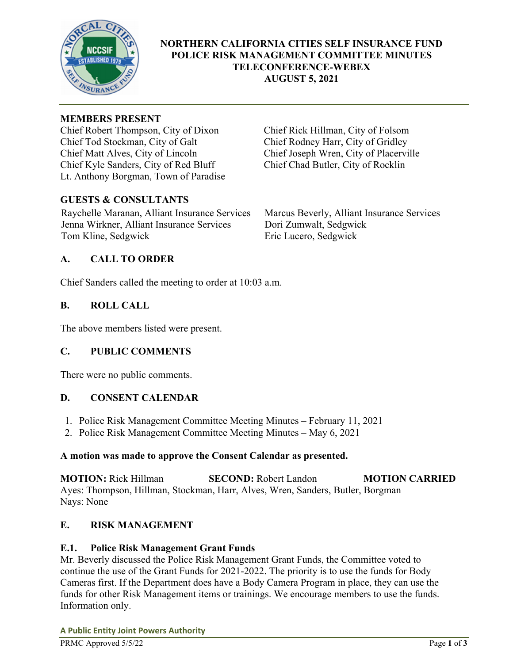

## **NORTHERN CALIFORNIA CITIES SELF INSURANCE FUND POLICE RISK MANAGEMENT COMMITTEE MINUTES TELECONFERENCE-WEBEX AUGUST 5, 2021**

#### **MEMBERS PRESENT**

Chief Robert Thompson, City of Dixon Chief Rick Hillman, City of Folsom Chief Tod Stockman, City of Galt Chief Rodney Harr, City of Gridley Chief Matt Alves, City of Lincoln Chief Joseph Wren, City of Placerville Chief Kyle Sanders, City of Red Bluff Chief Chad Butler, City of Rocklin Lt. Anthony Borgman, Town of Paradise

## **GUESTS & CONSULTANTS**

Raychelle Maranan, Alliant Insurance Services Marcus Beverly, Alliant Insurance Services Jenna Wirkner, Alliant Insurance Services Dori Zumwalt, Sedgwick Tom Kline, Sedgwick Eric Lucero, Sedgwick

## **A. CALL TO ORDER**

Chief Sanders called the meeting to order at 10:03 a.m.

## **B. ROLL CALL**

The above members listed were present.

## **C. PUBLIC COMMENTS**

There were no public comments.

## **D. CONSENT CALENDAR**

- 1. Police Risk Management Committee Meeting Minutes February 11, 2021
- 2. Police Risk Management Committee Meeting Minutes May 6, 2021

#### **A motion was made to approve the Consent Calendar as presented.**

**MOTION:** Rick Hillman **SECOND:** Robert Landon **MOTION CARRIED**  Ayes: Thompson, Hillman, Stockman, Harr, Alves, Wren, Sanders, Butler, Borgman Nays: None

## **E. RISK MANAGEMENT**

## **E.1. Police Risk Management Grant Funds**

Mr. Beverly discussed the Police Risk Management Grant Funds, the Committee voted to continue the use of the Grant Funds for 2021-2022. The priority is to use the funds for Body Cameras first. If the Department does have a Body Camera Program in place, they can use the funds for other Risk Management items or trainings. We encourage members to use the funds. Information only.

**A Public Entity Joint Powers Authority**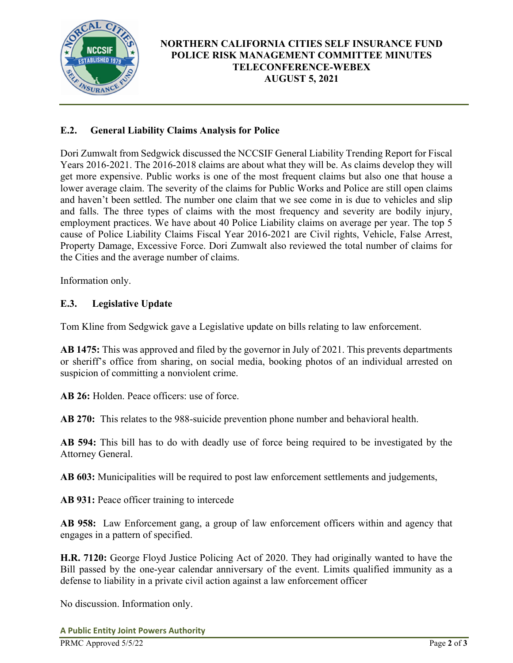

# **NORTHERN CALIFORNIA CITIES SELF INSURANCE FUND POLICE RISK MANAGEMENT COMMITTEE MINUTES TELECONFERENCE-WEBEX AUGUST 5, 2021**

# **E.2. General Liability Claims Analysis for Police**

Dori Zumwalt from Sedgwick discussed the NCCSIF General Liability Trending Report for Fiscal Years 2016-2021. The 2016-2018 claims are about what they will be. As claims develop they will get more expensive. Public works is one of the most frequent claims but also one that house a lower average claim. The severity of the claims for Public Works and Police are still open claims and haven't been settled. The number one claim that we see come in is due to vehicles and slip and falls. The three types of claims with the most frequency and severity are bodily injury, employment practices. We have about 40 Police Liability claims on average per year. The top 5 cause of Police Liability Claims Fiscal Year 2016-2021 are Civil rights, Vehicle, False Arrest, Property Damage, Excessive Force. Dori Zumwalt also reviewed the total number of claims for the Cities and the average number of claims.

Information only.

## **E.3. Legislative Update**

Tom Kline from Sedgwick gave a Legislative update on bills relating to law enforcement.

**AB 1475:** This was approved and filed by the governor in July of 2021. This prevents departments or sheriff's office from sharing, on social media, booking photos of an individual arrested on suspicion of committing a nonviolent crime.

**AB 26:** Holden. Peace officers: use of force.

**AB 270:** This relates to the 988-suicide prevention phone number and behavioral health.

**AB 594:** This bill has to do with deadly use of force being required to be investigated by the Attorney General.

**AB 603:** Municipalities will be required to post law enforcement settlements and judgements,

**AB 931:** Peace officer training to intercede

**AB 958:** Law Enforcement gang, a group of law enforcement officers within and agency that engages in a pattern of specified.

**H.R. 7120:** George Floyd Justice Policing Act of 2020. They had originally wanted to have the Bill passed by the one-year calendar anniversary of the event. Limits qualified immunity as a defense to liability in a private civil action against a law enforcement officer

No discussion. Information only.

**A Public Entity Joint Powers Authority**